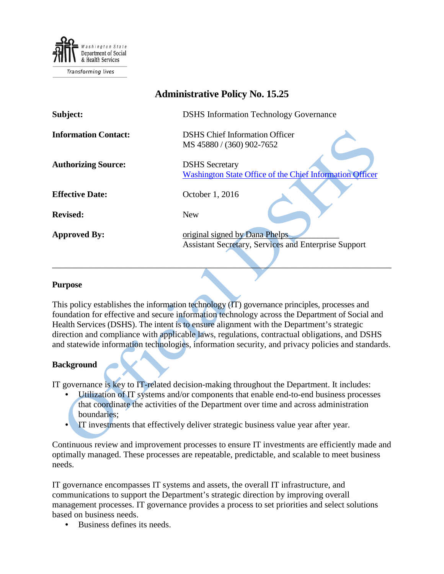

**Transforming lives** 

| <b>Administrative Policy No. 15.25</b> |                                                                                               |
|----------------------------------------|-----------------------------------------------------------------------------------------------|
| Subject:                               | <b>DSHS</b> Information Technology Governance                                                 |
| <b>Information Contact:</b>            | <b>DSHS</b> Chief Information Officer<br>MS 45880 / (360) 902-7652                            |
| <b>Authorizing Source:</b>             | <b>DSHS</b> Secretary<br><b>Washington State Office of the Chief Information Officer</b>      |
| <b>Effective Date:</b>                 | October 1, 2016                                                                               |
| <b>Revised:</b>                        | <b>New</b>                                                                                    |
| <b>Approved By:</b>                    | original signed by Dana Phelps<br><b>Assistant Secretary, Services and Enterprise Support</b> |

#### **Purpose**

This policy establishes the information technology (IT) governance principles, processes and foundation for effective and secure information technology across the Department of Social and Health Services (DSHS). The intent is to ensure alignment with the Department's strategic direction and compliance with applicable laws, regulations, contractual obligations, and DSHS and statewide information technologies, information security, and privacy policies and standards.

\_\_\_\_\_\_\_\_\_\_\_\_\_\_\_\_\_\_\_\_\_\_\_\_\_\_\_\_\_\_\_\_\_\_\_\_\_\_\_\_\_\_\_\_\_\_\_\_\_\_\_\_\_\_\_\_\_\_\_\_\_\_\_\_\_\_\_\_\_\_\_\_\_\_\_\_\_\_

## **Background**

IT governance is key to IT-related decision-making throughout the Department. It includes:

- Utilization of IT systems and/or components that enable end-to-end business processes that coordinate the activities of the Department over time and across administration boundaries;
- IT investments that effectively deliver strategic business value year after year.

Continuous review and improvement processes to ensure IT investments are efficiently made and optimally managed. These processes are repeatable, predictable, and scalable to meet business needs.

IT governance encompasses IT systems and assets, the overall IT infrastructure, and communications to support the Department's strategic direction by improving overall management processes. IT governance provides a process to set priorities and select solutions based on business needs.

• Business defines its needs.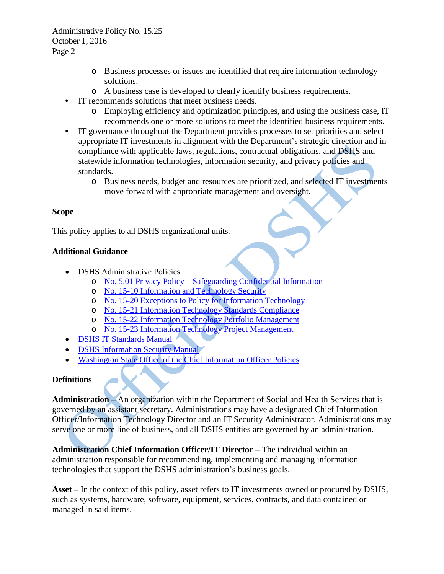- o Business processes or issues are identified that require information technology solutions.
- o A business case is developed to clearly identify business requirements.
- IT recommends solutions that meet business needs.
	- o Employing efficiency and optimization principles, and using the business case, IT recommends one or more solutions to meet the identified business requirements.
- IT governance throughout the Department provides processes to set priorities and select appropriate IT investments in alignment with the Department's strategic direction and in compliance with applicable laws, regulations, contractual obligations, and DSHS and statewide information technologies, information security, and privacy policies and standards.
	- o Business needs, budget and resources are prioritized, and selected IT investments move forward with appropriate management and oversight.

#### **Scope**

This policy applies to all DSHS organizational units.

### **Additional Guidance**

- **DSHS Administrative Policies** 
	- o No. 5.01 Privacy Policy [Safeguarding Confidential Information](http://one.dshs.wa.lcl/Policies/Administrative/DSHS-AP-05-01.pdf)
	- o [No. 15-10 Information and Technology Security](http://one.dshs.wa.lcl/Policies/Administrative/DSHS-AP-15-10.pdf)
	- o [No. 15-20 Exceptions to Policy for Information Technology](http://one.dshs.wa.lcl/Policies/Administrative/DSHS-AP-15-20.pdf)
	- o [No. 15-21 Information Technology Standards Compliance](http://one.dshs.wa.lcl/Policies/Administrative/DSHS-AP-15-21.pdf)
	- o No. 15-22 [Information Technology Portfolio Management](http://one.dshs.wa.lcl/Policies/Administrative/DSHS-AP-15-22.pdf)
	- o [No. 15-23 Information Technology Project Management](http://one.dshs.wa.lcl/Policies/Administrative/DSHS-AP-15-23.pdf)
- [DSHS IT Standards Manual](http://intra.dshs.wa.lcl/itstandards/index.stm)
- [DSHS Information Security Manual](http://ishare.dshs.wa.lcl/Security/Pages/Manual.aspx)
- [Washington State Office of the Chief Information Officer Policies](https://ocio.wa.gov/policies)

## **Definitions**

**Administration** – An organization within the Department of Social and Health Services that is governed by an assistant secretary. Administrations may have a designated Chief Information Officer/Information Technology Director and an IT Security Administrator. Administrations may serve one or more line of business, and all DSHS entities are governed by an administration.

**Administration Chief Information Officer/IT Director** – The individual within an administration responsible for recommending, implementing and managing information technologies that support the DSHS administration's business goals.

**Asset** – In the context of this policy, asset refers to IT investments owned or procured by DSHS, such as systems, hardware, software, equipment, services, contracts, and data contained or managed in said items.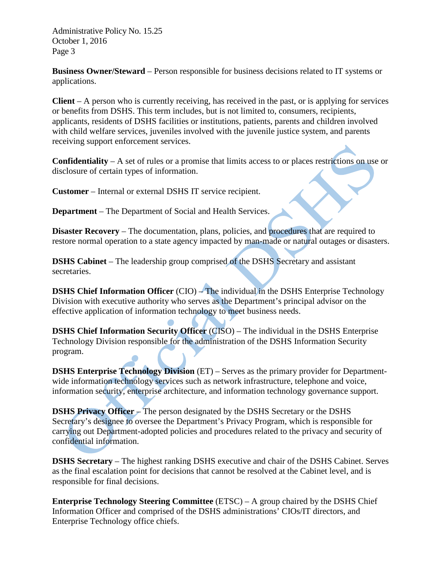**Business Owner/Steward** – Person responsible for business decisions related to IT systems or applications.

**Client** – A person who is currently receiving, has received in the past, or is applying for services or benefits from DSHS. This term includes, but is not limited to, consumers, recipients, applicants, residents of DSHS facilities or institutions, patients, parents and children involved with child welfare services, juveniles involved with the juvenile justice system, and parents receiving support enforcement services.

**Confidentiality** – A set of rules or a promise that limits access to or places restrictions on use or disclosure of certain types of information.

**Customer** – Internal or external DSHS IT service recipient.

**Department** – The Department of Social and Health Services.

**Disaster Recovery** – The documentation, plans, policies, and procedures that are required to restore normal operation to a state agency impacted by man-made or natural outages or disasters.

**DSHS Cabinet** – The leadership group comprised of the DSHS Secretary and assistant secretaries.

**DSHS Chief Information Officer** (CIO) – The individual in the DSHS Enterprise Technology Division with executive authority who serves as the Department's principal advisor on the effective application of information technology to meet business needs.

**DSHS Chief Information Security Officer** (CISO) – The individual in the DSHS Enterprise Technology Division responsible for the administration of the DSHS Information Security program.

**DSHS Enterprise Technology Division** (ET) – Serves as the primary provider for Departmentwide information technology services such as network infrastructure, telephone and voice, information security, enterprise architecture, and information technology governance support.

**DSHS Privacy Officer** – The person designated by the DSHS Secretary or the DSHS Secretary's designee to oversee the Department's Privacy Program, which is responsible for carrying out Department-adopted policies and procedures related to the privacy and security of confidential information.

**DSHS Secretary** – The highest ranking DSHS executive and chair of the DSHS Cabinet. Serves as the final escalation point for decisions that cannot be resolved at the Cabinet level, and is responsible for final decisions.

**Enterprise Technology Steering Committee** (ETSC) – A group chaired by the DSHS Chief Information Officer and comprised of the DSHS administrations' CIOs/IT directors, and Enterprise Technology office chiefs.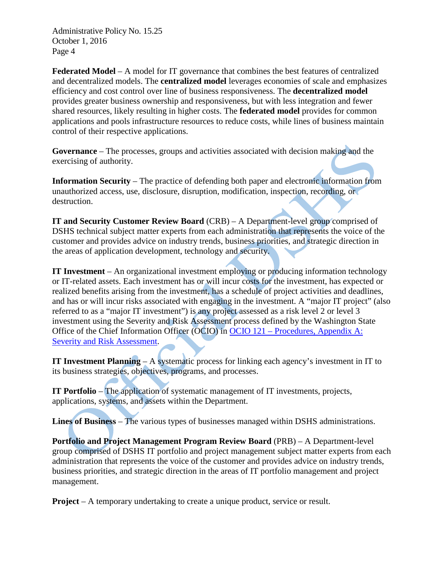**Federated Model** – A model for IT governance that combines the best features of centralized and decentralized models. The **centralized model** leverages economies of scale and emphasizes efficiency and cost control over line of business responsiveness. The **decentralized model** provides greater business ownership and responsiveness, but with less integration and fewer shared resources, likely resulting in higher costs. The **federated model** provides for common applications and pools infrastructure resources to reduce costs, while lines of business maintain control of their respective applications.

**Governance** – The processes, groups and activities associated with decision making and the exercising of authority.

**Information Security** – The practice of defending both paper and electronic information from unauthorized access, use, disclosure, disruption, modification, inspection, recording, or destruction.

**IT and Security Customer Review Board** (CRB) – A Department-level group comprised of DSHS technical subject matter experts from each administration that represents the voice of the customer and provides advice on industry trends, business priorities, and strategic direction in the areas of application development, technology and security.

**IT Investment** – An organizational investment employing or producing information technology or IT-related assets. Each investment has or will incur costs for the investment, has expected or realized benefits arising from the investment, has a schedule of project activities and deadlines, and has or will incur risks associated with engaging in the investment. A "major IT project" (also referred to as a "major IT investment") is any project assessed as a risk level 2 or level 3 investment using the Severity and Risk Assessment process defined by the Washington State Office of the Chief Information Officer (OCIO) in OCIO 121 – [Procedures, Appendix A:](https://ocio.wa.gov/policies/121-it-investments-approval-and-oversight/121-appendix-severity-and-risk-assessment) Severity and Risk Assessment.

**IT Investment Planning** – A systematic process for linking each agency's investment in IT to its business strategies, objectives, programs, and processes.

**IT Portfolio** – The application of systematic management of IT investments, projects, applications, systems, and assets within the Department.

**Lines of Business** – The various types of businesses managed within DSHS administrations.

**Portfolio and Project Management Program Review Board** (PRB) – A Department-level group comprised of DSHS IT portfolio and project management subject matter experts from each administration that represents the voice of the customer and provides advice on industry trends, business priorities, and strategic direction in the areas of IT portfolio management and project management.

**Project** – A temporary undertaking to create a unique product, service or result.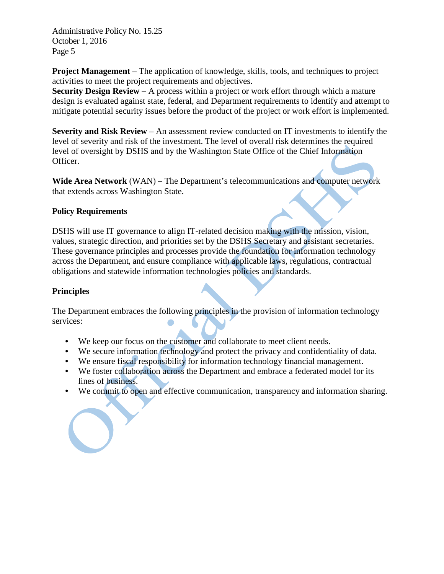**Project Management** – The application of knowledge, skills, tools, and techniques to project activities to meet the project requirements and objectives.

**Security Design Review** – A process within a project or work effort through which a mature design is evaluated against state, federal, and Department requirements to identify and attempt to mitigate potential security issues before the product of the project or work effort is implemented.

**Severity and Risk Review** – An assessment review conducted on IT investments to identify the level of severity and risk of the investment. The level of overall risk determines the required level of oversight by DSHS and by the Washington State Office of the Chief Information Officer.

**Wide Area Network** (WAN) – The Department's telecommunications and computer network that extends across Washington State.

## **Policy Requirements**

DSHS will use IT governance to align IT-related decision making with the mission, vision, values, strategic direction, and priorities set by the DSHS Secretary and assistant secretaries. These governance principles and processes provide the foundation for information technology across the Department, and ensure compliance with applicable laws, regulations, contractual obligations and statewide information technologies policies and standards.

### **Principles**

The Department embraces the following principles in the provision of information technology services:

- We keep our focus on the customer and collaborate to meet client needs.
- We secure information technology and protect the privacy and confidentiality of data.
- We ensure fiscal responsibility for information technology financial management.
- We foster collaboration across the Department and embrace a federated model for its lines of business.
- We commit to open and effective communication, transparency and information sharing.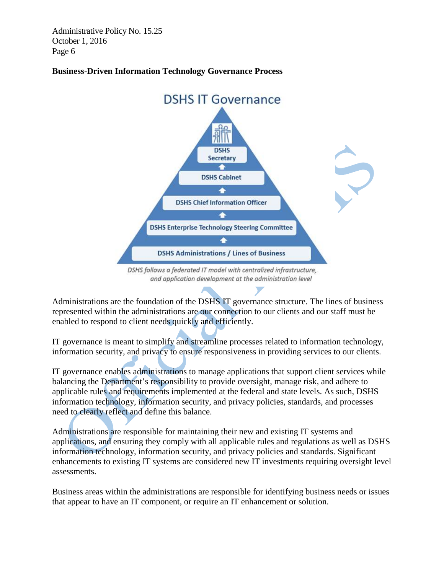

## **Business-Driven Information Technology Governance Process**

Administrations are the foundation of the DSHS IT governance structure. The lines of business represented within the administrations are our connection to our clients and our staff must be enabled to respond to client needs quickly and efficiently.

IT governance is meant to simplify and streamline processes related to information technology, information security, and privacy to ensure responsiveness in providing services to our clients.

IT governance enables administrations to manage applications that support client services while balancing the Department's responsibility to provide oversight, manage risk, and adhere to applicable rules and requirements implemented at the federal and state levels. As such, DSHS information technology, information security, and privacy policies, standards, and processes need to clearly reflect and define this balance.

Administrations are responsible for maintaining their new and existing IT systems and applications, and ensuring they comply with all applicable rules and regulations as well as DSHS information technology, information security, and privacy policies and standards. Significant enhancements to existing IT systems are considered new IT investments requiring oversight level assessments.

Business areas within the administrations are responsible for identifying business needs or issues that appear to have an IT component, or require an IT enhancement or solution.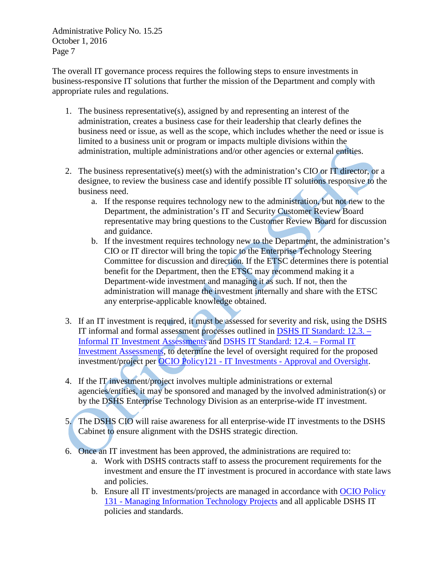The overall IT governance process requires the following steps to ensure investments in business-responsive IT solutions that further the mission of the Department and comply with appropriate rules and regulations.

- 1. The business representative(s), assigned by and representing an interest of the administration, creates a business case for their leadership that clearly defines the business need or issue, as well as the scope, which includes whether the need or issue is limited to a business unit or program or impacts multiple divisions within the administration, multiple administrations and/or other agencies or external entities.
- 2. The business representative(s) meet(s) with the administration's CIO or IT director, or a designee, to review the business case and identify possible IT solutions responsive to the business need.
	- a. If the response requires technology new to the administration, but not new to the Department, the administration's IT and Security Customer Review Board representative may bring questions to the Customer Review Board for discussion and guidance.
	- b. If the investment requires technology new to the Department, the administration's CIO or IT director will bring the topic to the Enterprise Technology Steering Committee for discussion and direction. If the ETSC determines there is potential benefit for the Department, then the ETSC may recommend making it a Department-wide investment and managing it as such. If not, then the administration will manage the investment internally and share with the ETSC any enterprise-applicable knowledge obtained.
- 3. If an IT investment is required, it must be assessed for severity and risk, using the DSHS IT informal and formal assessment processes outlined in [DSHS IT Standard: 12.3. –](http://intra.dshs.wa.lcl/itstandards/ITStandard12.3.stm) [Informal IT Investment Assessments](http://intra.dshs.wa.lcl/itstandards/ITStandard12.3.stm) and [DSHS IT Standard: 12.4. –](http://intra.dshs.wa.lcl/itstandards/ITStandard12.4.stm) Formal IT [Investment Assessments,](http://intra.dshs.wa.lcl/itstandards/ITStandard12.4.stm) to determine the level of oversight required for the proposed investment/project per [OCIO Policy121 -](https://ocio.wa.gov/policies/121-it-investments-approval-and-oversight) IT Investments - Approval and Oversight.
- 4. If the IT investment/project involves multiple administrations or external agencies/entities, it may be sponsored and managed by the involved administration(s) or by the DSHS Enterprise Technology Division as an enterprise-wide IT investment.
- 5. The DSHS CIO will raise awareness for all enterprise-wide IT investments to the DSHS Cabinet to ensure alignment with the DSHS strategic direction.
- 6. Once an IT investment has been approved, the administrations are required to:
	- a. Work with DSHS contracts staff to assess the procurement requirements for the investment and ensure the IT investment is procured in accordance with state laws and policies.
	- b. Ensure all IT investments/projects are managed in accordance with [OCIO Policy](https://ocio.wa.gov/policies/131-managing-information-technology-projects)  131 - [Managing Information Technology Projects](https://ocio.wa.gov/policies/131-managing-information-technology-projects) and all applicable DSHS IT policies and standards.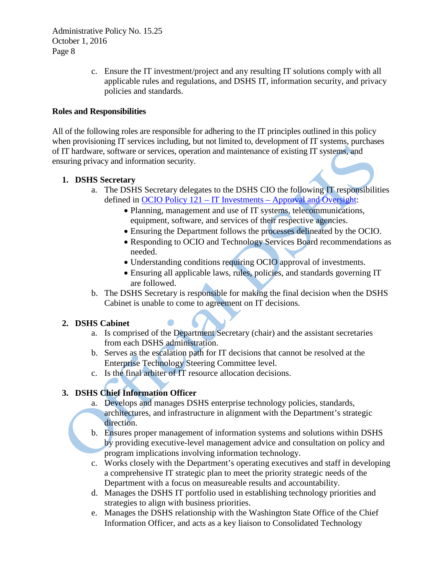> c. Ensure the IT investment/project and any resulting IT solutions comply with all applicable rules and regulations, and DSHS IT, information security, and privacy policies and standards.

#### **Roles and Responsibilities**

All of the following roles are responsible for adhering to the IT principles outlined in this policy when provisioning IT services including, but not limited to, development of IT systems, purchases of IT hardware, software or services, operation and maintenance of existing IT systems, and ensuring privacy and information security.

### **1. DSHS Secretary**

- a. The DSHS Secretary delegates to the DSHS CIO the following IT responsibilities defined in OCIO Policy 121 – IT Investments – [Approval and Oversight:](https://ocio.wa.gov/policies/121-it-investments-approval-and-oversight)
	- Planning, management and use of IT systems, telecommunications, equipment, software, and services of their respective agencies.
	- Ensuring the Department follows the processes delineated by the OCIO.
	- Responding to OCIO and Technology Services Board recommendations as needed.
	- Understanding conditions requiring OCIO approval of investments.
	- Ensuring all applicable laws, rules, policies, and standards governing IT are followed.
- b. The DSHS Secretary is responsible for making the final decision when the DSHS Cabinet is unable to come to agreement on IT decisions.

## **2. DSHS Cabinet**

- a. Is comprised of the Department Secretary (chair) and the assistant secretaries from each DSHS administration.
- b. Serves as the escalation path for IT decisions that cannot be resolved at the Enterprise Technology Steering Committee level.
- c. Is the final arbiter of IT resource allocation decisions.

## **3. DSHS Chief Information Officer**

- a. Develops and manages DSHS enterprise technology policies, standards, architectures, and infrastructure in alignment with the Department's strategic direction.
- b. Ensures proper management of information systems and solutions within DSHS by providing executive-level management advice and consultation on policy and program implications involving information technology.
- c. Works closely with the Department's operating executives and staff in developing a comprehensive IT strategic plan to meet the priority strategic needs of the Department with a focus on measureable results and accountability.
- d. Manages the DSHS IT portfolio used in establishing technology priorities and strategies to align with business priorities.
- e. Manages the DSHS relationship with the Washington State Office of the Chief Information Officer, and acts as a key liaison to Consolidated Technology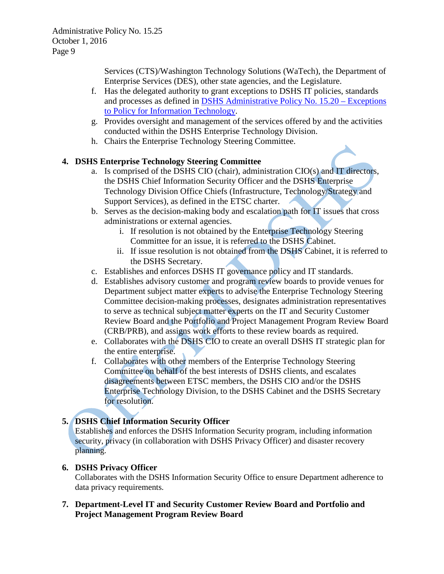Services (CTS)/Washington Technology Solutions (WaTech), the Department of Enterprise Services (DES), other state agencies, and the Legislature.

- f. Has the delegated authority to grant exceptions to DSHS IT policies, standards and processes as defined in [DSHS Administrative Policy No. 15.20 –](http://one.dshs.wa.lcl/Policies/Administrative/DSHS-AP-15-20.pdf) Exceptions [to Policy for Information Technology.](http://one.dshs.wa.lcl/Policies/Administrative/DSHS-AP-15-20.pdf)
- g. Provides oversight and management of the services offered by and the activities conducted within the DSHS Enterprise Technology Division.
- h. Chairs the Enterprise Technology Steering Committee.

## **4. DSHS Enterprise Technology Steering Committee**

- a. Is comprised of the DSHS CIO (chair), administration CIO(s) and IT directors, the DSHS Chief Information Security Officer and the DSHS Enterprise Technology Division Office Chiefs (Infrastructure, Technology/Strategy and Support Services), as defined in the ETSC charter.
- b. Serves as the decision-making body and escalation path for IT issues that cross administrations or external agencies.
	- i. If resolution is not obtained by the Enterprise Technology Steering Committee for an issue, it is referred to the DSHS Cabinet.
	- ii. If issue resolution is not obtained from the DSHS Cabinet, it is referred to the DSHS Secretary.
- c. Establishes and enforces DSHS IT governance policy and IT standards.
- d. Establishes advisory customer and program review boards to provide venues for Department subject matter experts to advise the Enterprise Technology Steering Committee decision-making processes, designates administration representatives to serve as technical subject matter experts on the IT and Security Customer Review Board and the Portfolio and Project Management Program Review Board (CRB/PRB), and assigns work efforts to these review boards as required.
- e. Collaborates with the DSHS CIO to create an overall DSHS IT strategic plan for the entire enterprise.
- f. Collaborates with other members of the Enterprise Technology Steering Committee on behalf of the best interests of DSHS clients, and escalates disagreements between ETSC members, the DSHS CIO and/or the DSHS Enterprise Technology Division, to the DSHS Cabinet and the DSHS Secretary for resolution.

# **5. DSHS Chief Information Security Officer**

Establishes and enforces the DSHS Information Security program, including information security, privacy (in collaboration with DSHS Privacy Officer) and disaster recovery planning.

# **6. DSHS Privacy Officer**

Collaborates with the DSHS Information Security Office to ensure Department adherence to data privacy requirements.

## **7. Department-Level IT and Security Customer Review Board and Portfolio and Project Management Program Review Board**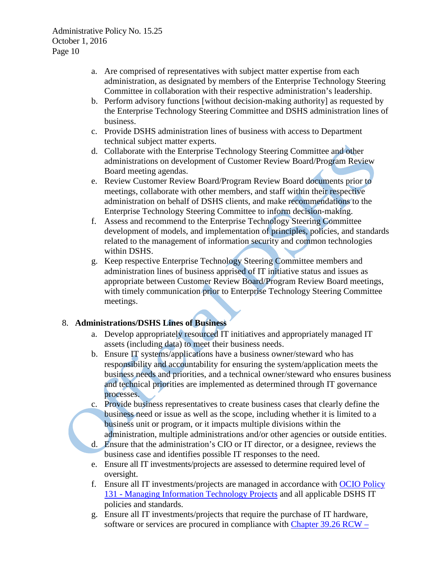- a. Are comprised of representatives with subject matter expertise from each administration, as designated by members of the Enterprise Technology Steering Committee in collaboration with their respective administration's leadership.
- b. Perform advisory functions [without decision-making authority] as requested by the Enterprise Technology Steering Committee and DSHS administration lines of business.
- c. Provide DSHS administration lines of business with access to Department technical subject matter experts.
- d. Collaborate with the Enterprise Technology Steering Committee and other administrations on development of Customer Review Board/Program Review Board meeting agendas.
- e. Review Customer Review Board/Program Review Board documents prior to meetings, collaborate with other members, and staff within their respective administration on behalf of DSHS clients, and make recommendations to the Enterprise Technology Steering Committee to inform decision-making.
- f. Assess and recommend to the Enterprise Technology Steering Committee development of models, and implementation of principles, policies, and standards related to the management of information security and common technologies within DSHS.
- g. Keep respective Enterprise Technology Steering Committee members and administration lines of business apprised of IT initiative status and issues as appropriate between Customer Review Board/Program Review Board meetings, with timely communication prior to Enterprise Technology Steering Committee meetings.

## 8. **Administrations/DSHS Lines of Business**

- a. Develop appropriately resourced IT initiatives and appropriately managed IT assets (including data) to meet their business needs.
- b. Ensure IT systems/applications have a business owner/steward who has responsibility and accountability for ensuring the system/application meets the business needs and priorities, and a technical owner/steward who ensures business and technical priorities are implemented as determined through IT governance processes.
- c. Provide business representatives to create business cases that clearly define the business need or issue as well as the scope, including whether it is limited to a business unit or program, or it impacts multiple divisions within the administration, multiple administrations and/or other agencies or outside entities.
- d. Ensure that the administration's CIO or IT director, or a designee, reviews the business case and identifies possible IT responses to the need.
- e. Ensure all IT investments/projects are assessed to determine required level of oversight.
- f. Ensure all IT investments/projects are managed in accordance with [OCIO Policy](https://ocio.wa.gov/policies/131-managing-information-technology-projects)  131 - [Managing Information Technology Projects](https://ocio.wa.gov/policies/131-managing-information-technology-projects) and all applicable DSHS IT policies and standards.
- g. Ensure all IT investments/projects that require the purchase of IT hardware, software or services are procured in compliance with [Chapter 39.26](http://apps.leg.wa.gov/rcw/default.aspx?cite=39.26) RCW –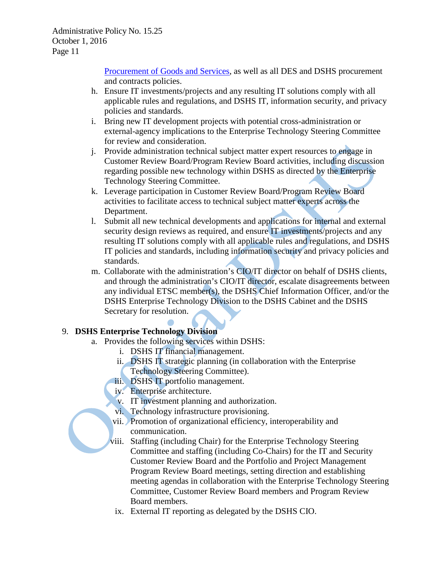Procurement of [Goods and Services,](http://apps.leg.wa.gov/rcw/default.aspx?cite=39.26) as well as all DES and DSHS procurement and contracts policies.

- h. Ensure IT investments/projects and any resulting IT solutions comply with all applicable rules and regulations, and DSHS IT, information security, and privacy policies and standards.
- i. Bring new IT development projects with potential cross-administration or external-agency implications to the Enterprise Technology Steering Committee for review and consideration.
- j. Provide administration technical subject matter expert resources to engage in Customer Review Board/Program Review Board activities, including discussion regarding possible new technology within DSHS as directed by the Enterprise Technology Steering Committee.
- k. Leverage participation in Customer Review Board/Program Review Board activities to facilitate access to technical subject matter experts across the Department.
- l. Submit all new technical developments and applications for internal and external security design reviews as required, and ensure IT investments/projects and any resulting IT solutions comply with all applicable rules and regulations, and DSHS IT policies and standards, including information security and privacy policies and standards.
- m. Collaborate with the administration's CIO/IT director on behalf of DSHS clients, and through the administration's CIO/IT director, escalate disagreements between any individual ETSC member(s), the DSHS Chief Information Officer, and/or the DSHS Enterprise Technology Division to the DSHS Cabinet and the DSHS Secretary for resolution.

# 9. **DSHS Enterprise Technology Division**

- a. Provides the following services within DSHS:
	- i. DSHS IT financial management.
	- ii. DSHS IT strategic planning (in collaboration with the Enterprise Technology Steering Committee).
	- iii. DSHS IT portfolio management.
	- iv. Enterprise architecture.
	- v. IT investment planning and authorization.
	- vi. Technology infrastructure provisioning.
	- vii. Promotion of organizational efficiency, interoperability and communication.
	- viii. Staffing (including Chair) for the Enterprise Technology Steering Committee and staffing (including Co-Chairs) for the IT and Security Customer Review Board and the Portfolio and Project Management Program Review Board meetings, setting direction and establishing meeting agendas in collaboration with the Enterprise Technology Steering Committee, Customer Review Board members and Program Review Board members.
	- ix. External IT reporting as delegated by the DSHS CIO.